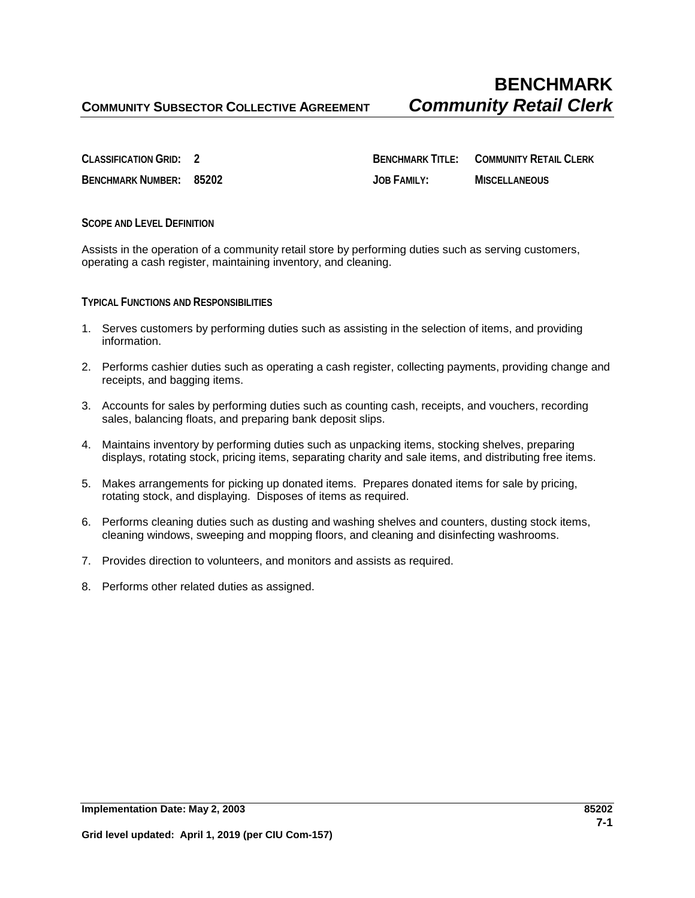**CLASSIFICATION GRID: 2 BENCHMARK TITLE: COMMUNITY RETAIL CLERK BENCHMARK NUMBER: 85202 JOB FAMILY: MISCELLANEOUS**

**SCOPE AND LEVEL DEFINITION**

Assists in the operation of a community retail store by performing duties such as serving customers, operating a cash register, maintaining inventory, and cleaning.

**TYPICAL FUNCTIONS AND RESPONSIBILITIES**

- 1. Serves customers by performing duties such as assisting in the selection of items, and providing information.
- 2. Performs cashier duties such as operating a cash register, collecting payments, providing change and receipts, and bagging items.
- 3. Accounts for sales by performing duties such as counting cash, receipts, and vouchers, recording sales, balancing floats, and preparing bank deposit slips.
- 4. Maintains inventory by performing duties such as unpacking items, stocking shelves, preparing displays, rotating stock, pricing items, separating charity and sale items, and distributing free items.
- 5. Makes arrangements for picking up donated items. Prepares donated items for sale by pricing, rotating stock, and displaying. Disposes of items as required.
- 6. Performs cleaning duties such as dusting and washing shelves and counters, dusting stock items, cleaning windows, sweeping and mopping floors, and cleaning and disinfecting washrooms.
- 7. Provides direction to volunteers, and monitors and assists as required.
- 8. Performs other related duties as assigned.